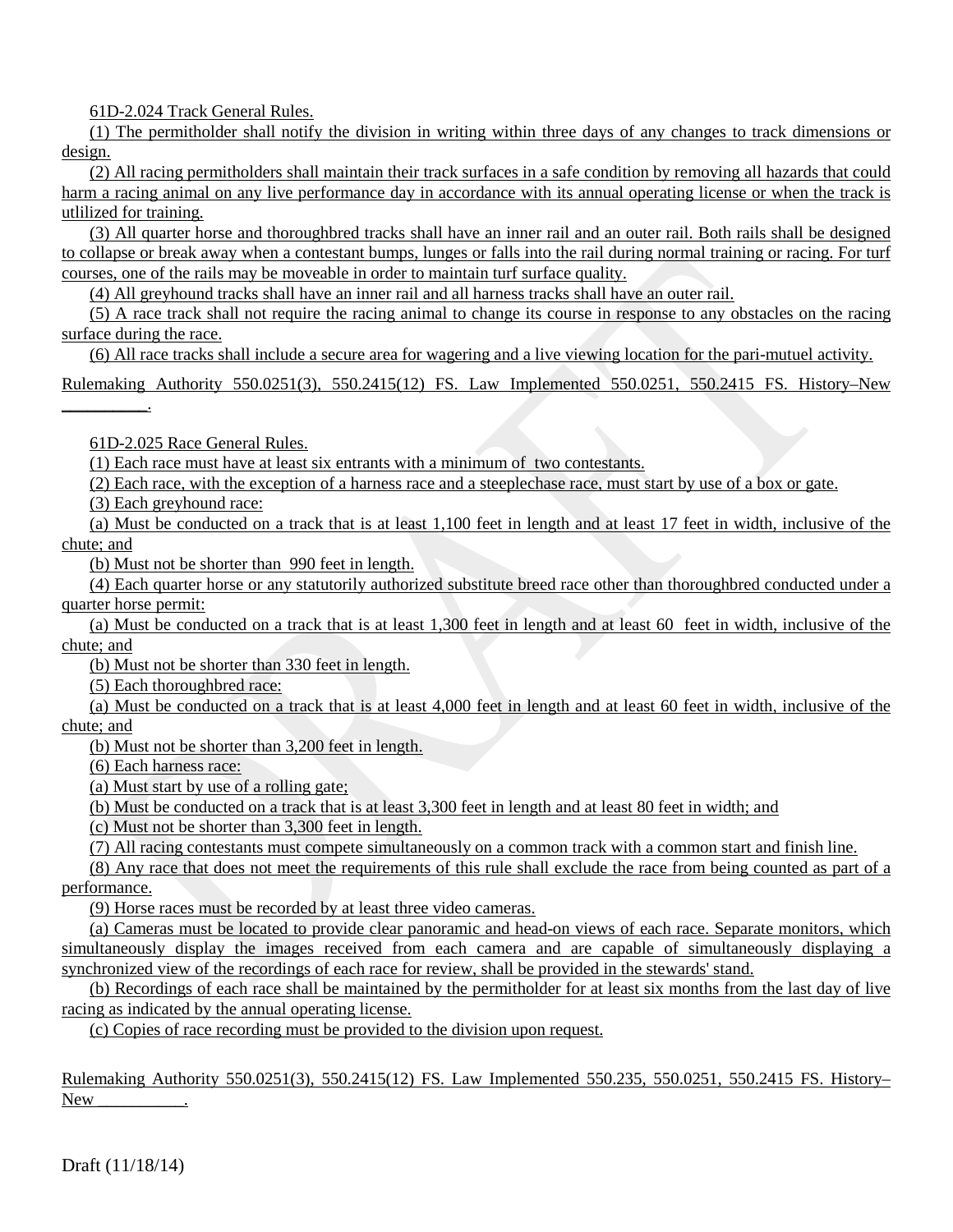61D-2.024 Track General Rules.

(1) The permitholder shall notify the division in writing within three days of any changes to track dimensions or design.

(2) All racing permitholders shall maintain their track surfaces in a safe condition by removing all hazards that could harm a racing animal on any live performance day in accordance with its annual operating license or when the track is utlilized for training.

(3) All quarter horse and thoroughbred tracks shall have an inner rail and an outer rail. Both rails shall be designed to collapse or break away when a contestant bumps, lunges or falls into the rail during normal training or racing. For turf courses, one of the rails may be moveable in order to maintain turf surface quality.

(4) All greyhound tracks shall have an inner rail and all harness tracks shall have an outer rail.

(5) A race track shall not require the racing animal to change its course in response to any obstacles on the racing surface during the race.

(6) All race tracks shall include a secure area for wagering and a live viewing location for the pari-mutuel activity.

Rulemaking Authority 550.0251(3), 550.2415(12) FS. Law Implemented 550.0251, 550.2415 FS. History–New \_\_\_\_\_\_\_\_\_\_.

61D-2.025 Race General Rules.

(1) Each race must have at least six entrants with a minimum of two contestants.

(2) Each race, with the exception of a harness race and a steeplechase race, must start by use of a box or gate.

(3) Each greyhound race:

(a) Must be conducted on a track that is at least 1,100 feet in length and at least 17 feet in width, inclusive of the chute; and

(b) Must not be shorter than 990 feet in length.

(4) Each quarter horse or any statutorily authorized substitute breed race other than thoroughbred conducted under a quarter horse permit:

(a) Must be conducted on a track that is at least 1,300 feet in length and at least 60 feet in width, inclusive of the chute; and

(b) Must not be shorter than 330 feet in length.

(5) Each thoroughbred race:

(a) Must be conducted on a track that is at least 4,000 feet in length and at least 60 feet in width, inclusive of the chute; and

(b) Must not be shorter than 3,200 feet in length.

(6) Each harness race:

(a) Must start by use of a rolling gate;

(b) Must be conducted on a track that is at least 3,300 feet in length and at least 80 feet in width; and

(c) Must not be shorter than 3,300 feet in length.

(7) All racing contestants must compete simultaneously on a common track with a common start and finish line.

(8) Any race that does not meet the requirements of this rule shall exclude the race from being counted as part of a performance.

(9) Horse races must be recorded by at least three video cameras.

(a) Cameras must be located to provide clear panoramic and head-on views of each race. Separate monitors, which simultaneously display the images received from each camera and are capable of simultaneously displaying a synchronized view of the recordings of each race for review, shall be provided in the stewards' stand.

(b) Recordings of each race shall be maintained by the permitholder for at least six months from the last day of live racing as indicated by the annual operating license.

(c) Copies of race recording must be provided to the division upon request.

Rulemaking Authority 550.0251(3), 550.2415(12) FS. Law Implemented 550.235, 550.0251, 550.2415 FS. History– New  $\sim$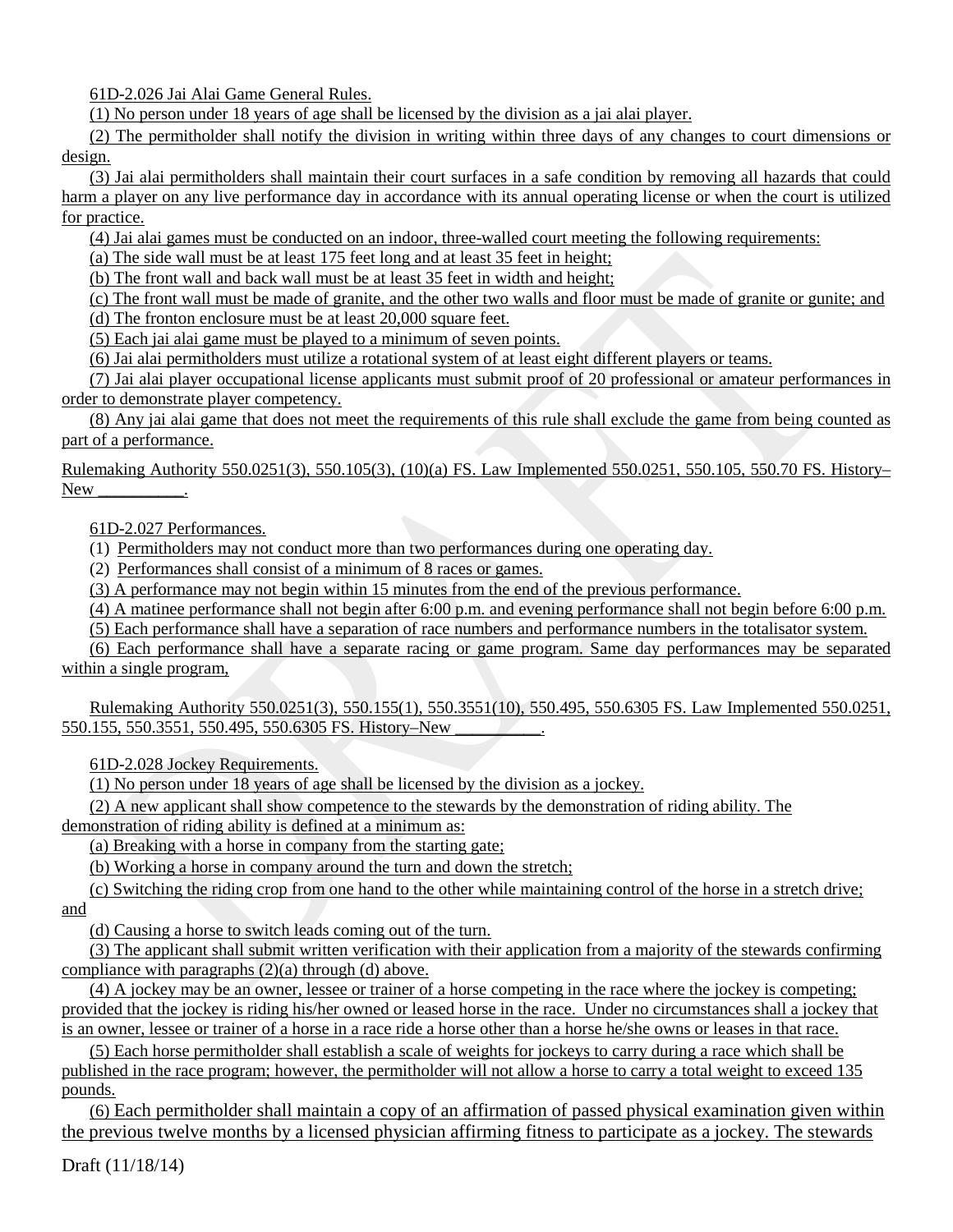61D-2.026 Jai Alai Game General Rules.

(1) No person under 18 years of age shall be licensed by the division as a jai alai player.

(2) The permitholder shall notify the division in writing within three days of any changes to court dimensions or design.

(3) Jai alai permitholders shall maintain their court surfaces in a safe condition by removing all hazards that could harm a player on any live performance day in accordance with its annual operating license or when the court is utilized for practice.

(4) Jai alai games must be conducted on an indoor, three-walled court meeting the following requirements:

(a) The side wall must be at least 175 feet long and at least 35 feet in height;

(b) The front wall and back wall must be at least 35 feet in width and height;

(c) The front wall must be made of granite, and the other two walls and floor must be made of granite or gunite; and (d) The fronton enclosure must be at least 20,000 square feet.

(5) Each jai alai game must be played to a minimum of seven points.

(6) Jai alai permitholders must utilize a rotational system of at least eight different players or teams.

(7) Jai alai player occupational license applicants must submit proof of 20 professional or amateur performances in order to demonstrate player competency.

(8) Any jai alai game that does not meet the requirements of this rule shall exclude the game from being counted as part of a performance.

Rulemaking Authority 550.0251(3), 550.105(3), (10)(a) FS. Law Implemented 550.0251, 550.105, 550.70 FS. History– New  $\sim$ 

61D-2.027 Performances.

(1) Permitholders may not conduct more than two performances during one operating day.

(2) Performances shall consist of a minimum of 8 races or games.

(3) A performance may not begin within 15 minutes from the end of the previous performance.

(4) A matinee performance shall not begin after 6:00 p.m. and evening performance shall not begin before 6:00 p.m.

(5) Each performance shall have a separation of race numbers and performance numbers in the totalisator system.

(6) Each performance shall have a separate racing or game program. Same day performances may be separated within a single program,

Rulemaking Authority 550.0251(3), 550.155(1), 550.3551(10), 550.495, 550.6305 FS. Law Implemented 550.0251, 550.155, 550.3551, 550.495, 550.6305 FS. History–New

61D-2.028 Jockey Requirements.

(1) No person under 18 years of age shall be licensed by the division as a jockey.

(2) A new applicant shall show competence to the stewards by the demonstration of riding ability. The demonstration of riding ability is defined at a minimum as:

(a) Breaking with a horse in company from the starting gate;

(b) Working a horse in company around the turn and down the stretch;

(c) Switching the riding crop from one hand to the other while maintaining control of the horse in a stretch drive; and

(d) Causing a horse to switch leads coming out of the turn.

(3) The applicant shall submit written verification with their application from a majority of the stewards confirming compliance with paragraphs (2)(a) through (d) above.

(4) A jockey may be an owner, lessee or trainer of a horse competing in the race where the jockey is competing; provided that the jockey is riding his/her owned or leased horse in the race. Under no circumstances shall a jockey that is an owner, lessee or trainer of a horse in a race ride a horse other than a horse he/she owns or leases in that race.

(5) Each horse permitholder shall establish a scale of weights for jockeys to carry during a race which shall be published in the race program; however, the permitholder will not allow a horse to carry a total weight to exceed 135 pounds.

(6) Each permitholder shall maintain a copy of an affirmation of passed physical examination given within the previous twelve months by a licensed physician affirming fitness to participate as a jockey. The stewards

Draft (11/18/14)